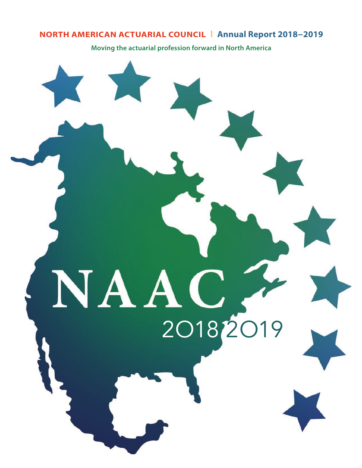# **NORTH AMERICAN ACTUARIAL COUNCIL** I **Annual Report 2018−2019**

**Moving the actuarial profession forward in North America**

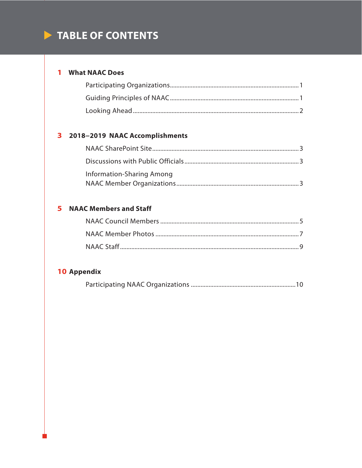# TABLE OF CONTENTS

# 1 What NAAC Does

# 3 2018-2019 NAAC Accomplishments

| Information-Sharing Among |  |
|---------------------------|--|
|                           |  |

# **5** NAAC Members and Staff

# 10 Appendix

|--|--|--|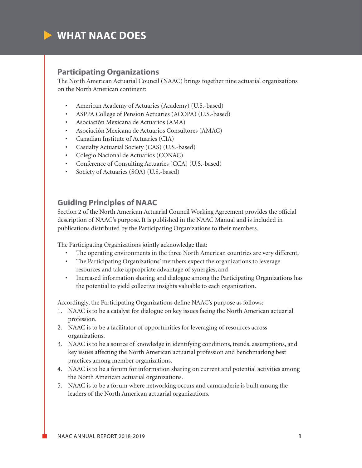

## **Participating Organizations**

The North American Actuarial Council (NAAC) brings together nine actuarial organizations on the North American continent:

- American Academy of Actuaries (Academy) (U.S.-based)
- ASPPA College of Pension Actuaries (ACOPA) (U.S.-based)
- Asociación Mexicana de Actuarios (AMA)
- Asociación Mexicana de Actuarios Consultores (AMAC)
- Canadian Institute of Actuaries (CIA)
- Casualty Actuarial Society (CAS) (U.S.-based)
- Colegio Nacional de Actuarios (CONAC)
- Conference of Consulting Actuaries (CCA) (U.S.-based)
- Society of Actuaries (SOA) (U.S.-based)

## **Guiding Principles of NAAC**

Section 2 of the North American Actuarial Council Working Agreement provides the official description of NAAC's purpose. It is published in the NAAC Manual and is included in publications distributed by the Participating Organizations to their members.

The Participating Organizations jointly acknowledge that:

- The operating environments in the three North American countries are very different,
- The Participating Organizations' members expect the organizations to leverage resources and take appropriate advantage of synergies, and
- Increased information sharing and dialogue among the Participating Organizations has the potential to yield collective insights valuable to each organization.

Accordingly, the Participating Organizations define NAAC's purpose as follows:

- 1. NAAC is to be a catalyst for dialogue on key issues facing the North American actuarial profession.
- 2. NAAC is to be a facilitator of opportunities for leveraging of resources across organizations.
- 3. NAAC is to be a source of knowledge in identifying conditions, trends, assumptions, and key issues affecting the North American actuarial profession and benchmarking best practices among member organizations.
- 4. NAAC is to be a forum for information sharing on current and potential activities among the North American actuarial organizations.
- 5. NAAC is to be a forum where networking occurs and camaraderie is built among the leaders of the North American actuarial organizations.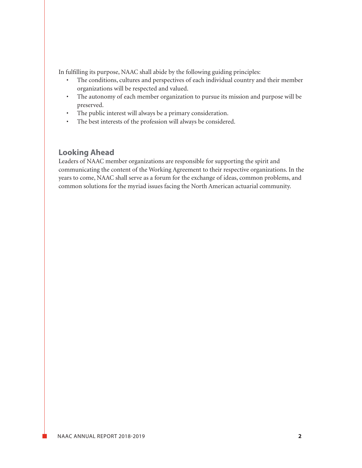In fulfilling its purpose, NAAC shall abide by the following guiding principles:

- The conditions, cultures and perspectives of each individual country and their member organizations will be respected and valued.
- The autonomy of each member organization to pursue its mission and purpose will be preserved.
- The public interest will always be a primary consideration.
- The best interests of the profession will always be considered.

# **Looking Ahead**

Leaders of NAAC member organizations are responsible for supporting the spirit and communicating the content of the Working Agreement to their respective organizations. In the years to come, NAAC shall serve as a forum for the exchange of ideas, common problems, and common solutions for the myriad issues facing the North American actuarial community.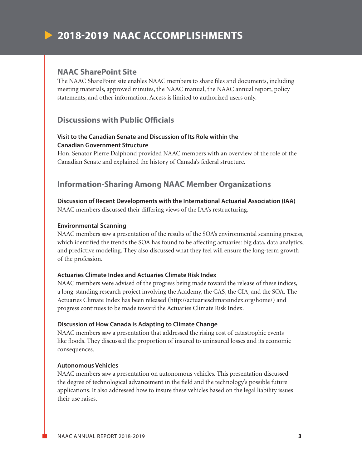# **2018-2019 NAAC ACCOMPLISHMENTS**

## **NAAC SharePoint Site**

The NAAC SharePoint site enables NAAC members to share files and documents, including meeting materials, approved minutes, the NAAC manual, the NAAC annual report, policy statements, and other information. Access is limited to authorized users only.

# **Discussions with Public Officials**

## **Visit to the Canadian Senate and Discussion of Its Role within the Canadian Government Structure**

Hon. Senator Pierre Dalphond provided NAAC members with an overview of the role of the Canadian Senate and explained the history of Canada's federal structure.

# **Information-Sharing Among NAAC Member Organizations**

### **Discussion of Recent Developments with the International Actuarial Association (IAA)** NAAC members discussed their differing views of the IAA's restructuring.

#### **Environmental Scanning**

NAAC members saw a presentation of the results of the SOA's environmental scanning process, which identified the trends the SOA has found to be affecting actuaries: big data, data analytics, and predictive modeling. They also discussed what they feel will ensure the long-term growth of the profession.

#### **Actuaries Climate Index and Actuaries Climate Risk Index**

NAAC members were advised of the progress being made toward the release of these indices, a long-standing research project involving the Academy, the CAS, the CIA, and the SOA. The Actuaries Climate Index has been released (http://actuariesclimateindex.org/home/) and progress continues to be made toward the Actuaries Climate Risk Index.

#### **Discussion of How Canada is Adapting to Climate Change**

NAAC members saw a presentation that addressed the rising cost of catastrophic events like floods. They discussed the proportion of insured to uninsured losses and its economic consequences.

### **Autonomous Vehicles**

NAAC members saw a presentation on autonomous vehicles. This presentation discussed the degree of technological advancement in the field and the technology's possible future applications. It also addressed how to insure these vehicles based on the legal liability issues their use raises.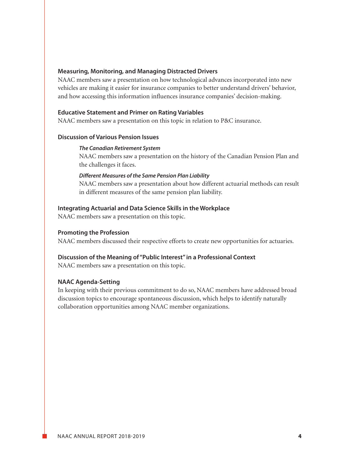#### **Measuring, Monitoring, and Managing Distracted Drivers**

NAAC members saw a presentation on how technological advances incorporated into new vehicles are making it easier for insurance companies to better understand drivers' behavior, and how accessing this information influences insurance companies' decision-making.

#### **Educative Statement and Primer on Rating Variables**

NAAC members saw a presentation on this topic in relation to P&C insurance.

#### **Discussion of Various Pension Issues**

#### *The Canadian Retirement System*

 NAAC members saw a presentation on the history of the Canadian Pension Plan and the challenges it faces.

#### *Different Measures of the Same Pension Plan Liability*

 NAAC members saw a presentation about how different actuarial methods can result in different measures of the same pension plan liability.

#### **Integrating Actuarial and Data Science Skills in the Workplace**

NAAC members saw a presentation on this topic.

#### **Promoting the Profession**

NAAC members discussed their respective efforts to create new opportunities for actuaries.

#### **Discussion of the Meaning of "Public Interest" in a Professional Context**

NAAC members saw a presentation on this topic.

#### **NAAC Agenda-Setting**

In keeping with their previous commitment to do so, NAAC members have addressed broad discussion topics to encourage spontaneous discussion, which helps to identify naturally collaboration opportunities among NAAC member organizations.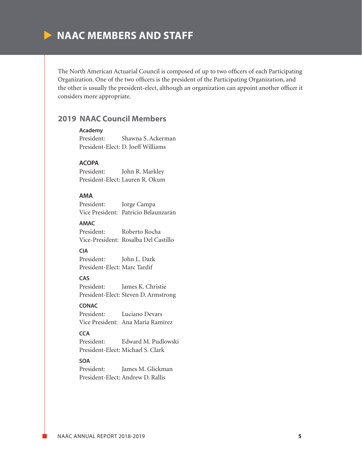# **NAAC MEMBERS AND STAFF**

The North American Actuarial Council is composed of up to two officers of each Participating Organization. One of the two officers is the president of the Participating Organization, and the other is usually the president-elect, although an organization can appoint another officer it considers more appropriate.

## **2019 NAAC Council Members**

#### **Academy**

President: Shawna S. Ackerman President-Elect: D. Joeff Williams

### **ACOPA**

President: John R. Markley President-Elect: Lauren R. Okum

## **AMA**

President: Jorge Campa Vice President: Patricio Belaunzarán

#### **AMAC**

President: Roberto Rocha Vice-President: Rosalba Del Castillo

## **CIA**

President: John L. Dark President-Elect: Marc Tardif

#### **CAS**

President: James K. Christie President-Elect: Steven D. Armstrong

## **CONAC**

President: Luciano Devars Vice President: Ana María Ramírez

## **CCA**

President: Edward M. Pudlowski President-Elect: Michael S. Clark

#### **SOA**

President: James M. Glickman President-Elect: Andrew D. Rallis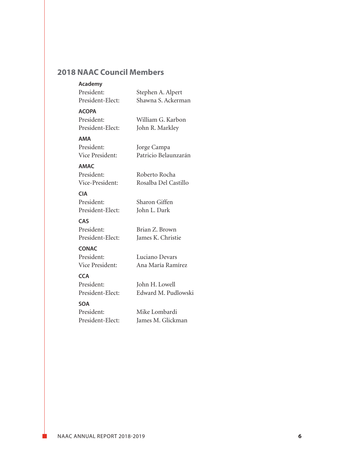# **2018 NAAC Council Members**

#### **Academy**

| President:       | Stephen A. Alpert  |
|------------------|--------------------|
| President-Elect: | Shawna S. Ackerman |

## **ACOPA**

| President:       |  |
|------------------|--|
| President-Elect: |  |

William G. Karbon John R. Markley

#### **AMA**

President: Jorge Campa Vice President: Patricio Belaunzarán

## **AMAC**

President: Roberto Rocha Vice-President: Rosalba Del Castillo

#### **CIA**

President: Sharon Giffen President-Elect: John L. Dark

## **CAS**

President: Brian Z. Brown

President-Elect: James K. Christie

## **CONAC**

President: Luciano Devars

Vice President: Ana María Ramírez

## **CCA**

President: John H. Lowell President-Elect: Edward M. Pudlowski

#### **SOA**

President: Mike Lombardi

President-Elect: James M. Glickman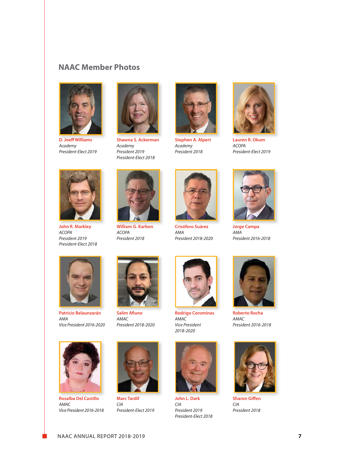## **NAAC Member Photos**



**D. Joeff Williams** *Academy President-Elect 2019*



**Shawna S. Ackerman** *Academy President 2019 President-Elect 2018*



**Stephen A. Alpert** *Academy President 2018*



**Lauren R. Okum** *ACOPA President-Elect 2019*



**John R. Markley** *ACOPA President 2019 President-Elect 2018*



**William G. Karbon** *ACOPA President 2018*



**Crisóforo Suárez** *AMA President 2018-2020*



**Jorge Campa** *AMA President 2016-2018*



**Patricio Belaunzarán** *AMA Vice President 2016-2020*



**Salim Afiune** *AMAC President 2018-2020*



**Rodrigo Corominas** *AMAC Vice President 2018-2020*



**John L. Dark** *CIA President 2019 President-Elect 2018*



**Roberto Rocha** *AMAC President 2016-2018*



**Sharon Giffen** *CIA President 2018*



**Rosalba Del Castillo** *AMAC Vice President 2016-2018*



*President-Elect 2019*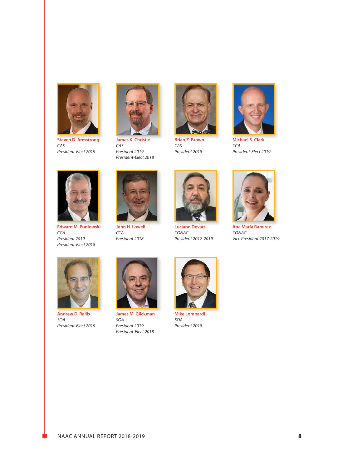

**Steven D. Armstrong** *CAS President-Elect 2019*



**James K. Christie** *CAS President 2019 President-Elect 2018*



**Brian Z. Brown** *CAS President 2018*



**Michael S. Clark** *CCA President-Elect 2019*



**Edward M. Pudlowski** *CCA President 2019 President-Elect 2018*



**John H. Lowell** *CCA President 2018*



**Luciano Devars** *CONAC President 2017-2019*



**Ana María Ramírez** *CONAC Vice President 2017-2019*



**Andrew D. Rallis** *SOA President-Elect 2019*



**James M. Glickman** *SOA President 2019 President-Elect 2018*



**Mike Lombardi** *SOA President 2018*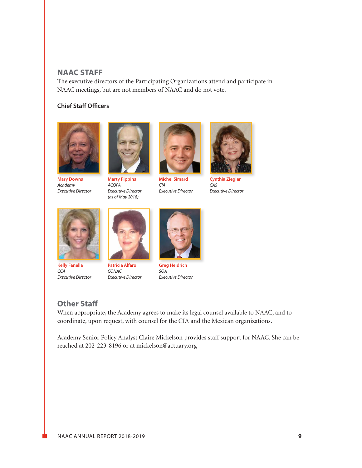## **NAAC STAFF**

The executive directors of the Participating Organizations attend and participate in NAAC meetings, but are not members of NAAC and do not vote.

## **Chief Staff Officers**



**Mary Downs** *Academy Executive Director*



**Marty Pippins** *ACOPA Executive Director (as of May 2018)*



**Michel Simard** *CIA Executive Director*



**Cynthia Ziegler** *CAS Executive Director*



**Kelly Fanella** *CCA Executive Director*



*CONAC Executive Director*



**Greg Heidrich** *SOA Executive Director*

# **Other Staff**

When appropriate, the Academy agrees to make its legal counsel available to NAAC, and to coordinate, upon request, with counsel for the CIA and the Mexican organizations.

Academy Senior Policy Analyst Claire Mickelson provides staff support for NAAC. She can be reached at 202-223-8196 or at mickelson@actuary.org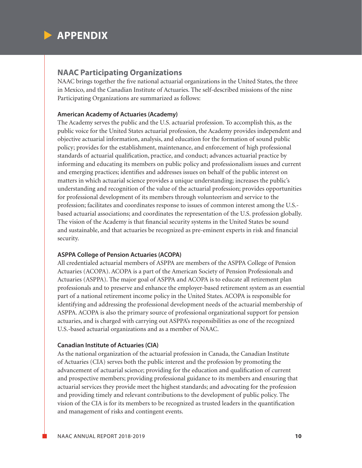

# **NAAC Participating Organizations**

NAAC brings together the five national actuarial organizations in the United States, the three in Mexico, and the Canadian Institute of Actuaries. The self-described missions of the nine Participating Organizations are summarized as follows:

#### **American Academy of Actuaries (Academy)**

The Academy serves the public and the U.S. actuarial profession. To accomplish this, as the public voice for the United States actuarial profession, the Academy provides independent and objective actuarial information, analysis, and education for the formation of sound public policy; provides for the establishment, maintenance, and enforcement of high professional standards of actuarial qualification, practice, and conduct; advances actuarial practice by informing and educating its members on public policy and professionalism issues and current and emerging practices; identifies and addresses issues on behalf of the public interest on matters in which actuarial science provides a unique understanding; increases the public's understanding and recognition of the value of the actuarial profession; provides opportunities for professional development of its members through volunteerism and service to the profession; facilitates and coordinates response to issues of common interest among the U.S. based actuarial associations; and coordinates the representation of the U.S. profession globally. The vision of the Academy is that financial security systems in the United States be sound and sustainable, and that actuaries be recognized as pre-eminent experts in risk and financial security.

#### **ASPPA College of Pension Actuaries (ACOPA)**

All credentialed actuarial members of ASPPA are members of the ASPPA College of Pension Actuaries (ACOPA). ACOPA is a part of the American Society of Pension Professionals and Actuaries (ASPPA). The major goal of ASPPA and ACOPA is to educate all retirement plan professionals and to preserve and enhance the employer-based retirement system as an essential part of a national retirement income policy in the United States. ACOPA is responsible for identifying and addressing the professional development needs of the actuarial membership of ASPPA. ACOPA is also the primary source of professional organizational support for pension actuaries, and is charged with carrying out ASPPA's responsibilities as one of the recognized U.S.-based actuarial organizations and as a member of NAAC.

#### **Canadian Institute of Actuaries (CIA)**

As the national organization of the actuarial profession in Canada, the Canadian Institute of Actuaries (CIA) serves both the public interest and the profession by promoting the advancement of actuarial science; providing for the education and qualification of current and prospective members; providing professional guidance to its members and ensuring that actuarial services they provide meet the highest standards; and advocating for the profession and providing timely and relevant contributions to the development of public policy. The vision of the CIA is for its members to be recognized as trusted leaders in the quantification and management of risks and contingent events.